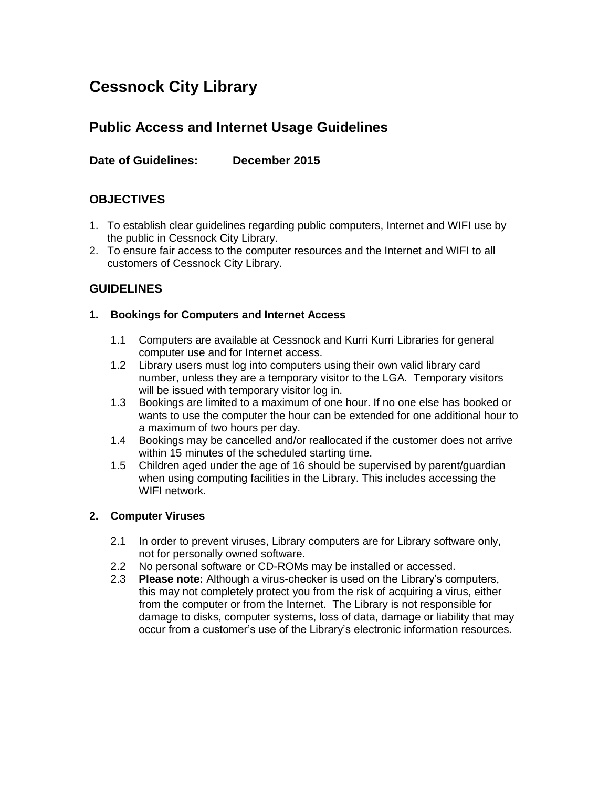# **Cessnock City Library**

# **Public Access and Internet Usage Guidelines**

# **Date of Guidelines: December 2015**

# **OBJECTIVES**

- 1. To establish clear guidelines regarding public computers, Internet and WIFI use by the public in Cessnock City Library.
- 2. To ensure fair access to the computer resources and the Internet and WIFI to all customers of Cessnock City Library.

### **GUIDELINES**

#### **1. Bookings for Computers and Internet Access**

- 1.1 Computers are available at Cessnock and Kurri Kurri Libraries for general computer use and for Internet access.
- 1.2 Library users must log into computers using their own valid library card number, unless they are a temporary visitor to the LGA. Temporary visitors will be issued with temporary visitor log in.
- 1.3 Bookings are limited to a maximum of one hour. If no one else has booked or wants to use the computer the hour can be extended for one additional hour to a maximum of two hours per day.
- 1.4 Bookings may be cancelled and/or reallocated if the customer does not arrive within 15 minutes of the scheduled starting time.
- 1.5 Children aged under the age of 16 should be supervised by parent/guardian when using computing facilities in the Library. This includes accessing the WIFI network.

#### **2. Computer Viruses**

- 2.1 In order to prevent viruses, Library computers are for Library software only, not for personally owned software.
- 2.2 No personal software or CD-ROMs may be installed or accessed.
- 2.3 **Please note:** Although a virus-checker is used on the Library's computers, this may not completely protect you from the risk of acquiring a virus, either from the computer or from the Internet. The Library is not responsible for damage to disks, computer systems, loss of data, damage or liability that may occur from a customer's use of the Library's electronic information resources.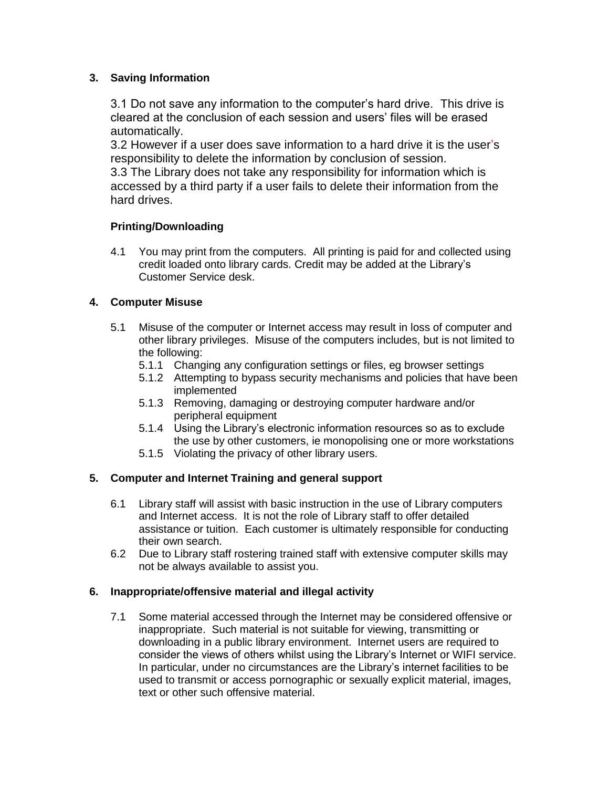#### **3. Saving Information**

3.1 Do not save any information to the computer's hard drive. This drive is cleared at the conclusion of each session and users' files will be erased automatically.

3.2 However if a user does save information to a hard drive it is the user's responsibility to delete the information by conclusion of session.

3.3 The Library does not take any responsibility for information which is accessed by a third party if a user fails to delete their information from the hard drives.

#### **Printing/Downloading**

4.1 You may print from the computers. All printing is paid for and collected using credit loaded onto library cards. Credit may be added at the Library's Customer Service desk.

#### **4. Computer Misuse**

- 5.1 Misuse of the computer or Internet access may result in loss of computer and other library privileges. Misuse of the computers includes, but is not limited to the following:
	- 5.1.1 Changing any configuration settings or files, eg browser settings
	- 5.1.2 Attempting to bypass security mechanisms and policies that have been implemented
	- 5.1.3 Removing, damaging or destroying computer hardware and/or peripheral equipment
	- 5.1.4 Using the Library's electronic information resources so as to exclude the use by other customers, ie monopolising one or more workstations
	- 5.1.5 Violating the privacy of other library users.

#### **5. Computer and Internet Training and general support**

- 6.1 Library staff will assist with basic instruction in the use of Library computers and Internet access. It is not the role of Library staff to offer detailed assistance or tuition. Each customer is ultimately responsible for conducting their own search.
- 6.2 Due to Library staff rostering trained staff with extensive computer skills may not be always available to assist you.

#### **6. Inappropriate/offensive material and illegal activity**

7.1 Some material accessed through the Internet may be considered offensive or inappropriate. Such material is not suitable for viewing, transmitting or downloading in a public library environment. Internet users are required to consider the views of others whilst using the Library's Internet or WIFI service. In particular, under no circumstances are the Library's internet facilities to be used to transmit or access pornographic or sexually explicit material, images, text or other such offensive material.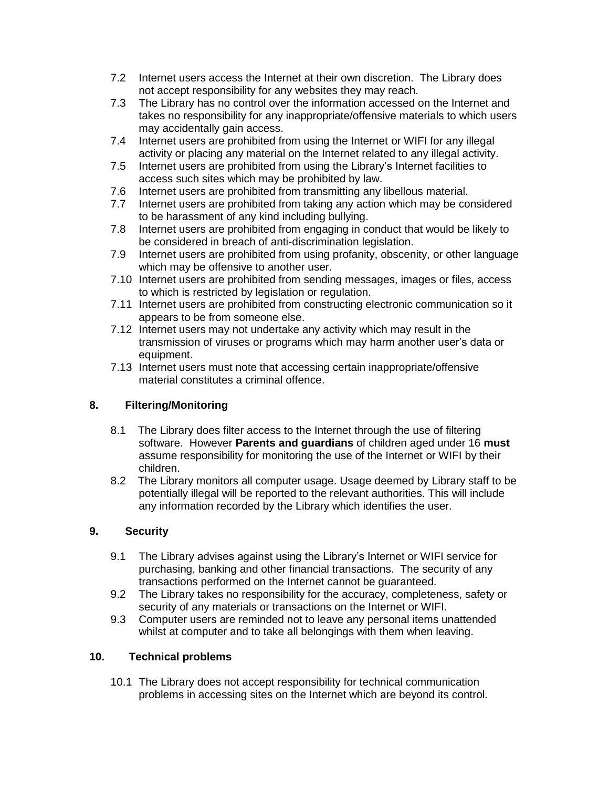- 7.2 Internet users access the Internet at their own discretion. The Library does not accept responsibility for any websites they may reach.
- 7.3 The Library has no control over the information accessed on the Internet and takes no responsibility for any inappropriate/offensive materials to which users may accidentally gain access.
- 7.4 Internet users are prohibited from using the Internet or WIFI for any illegal activity or placing any material on the Internet related to any illegal activity.
- 7.5 Internet users are prohibited from using the Library's Internet facilities to access such sites which may be prohibited by law.
- 7.6 Internet users are prohibited from transmitting any libellous material.
- 7.7 Internet users are prohibited from taking any action which may be considered to be harassment of any kind including bullying.
- 7.8 Internet users are prohibited from engaging in conduct that would be likely to be considered in breach of anti-discrimination legislation.
- 7.9 Internet users are prohibited from using profanity, obscenity, or other language which may be offensive to another user.
- 7.10 Internet users are prohibited from sending messages, images or files, access to which is restricted by legislation or regulation.
- 7.11 Internet users are prohibited from constructing electronic communication so it appears to be from someone else.
- 7.12 Internet users may not undertake any activity which may result in the transmission of viruses or programs which may harm another user's data or equipment.
- 7.13 Internet users must note that accessing certain inappropriate/offensive material constitutes a criminal offence.

#### **8. Filtering/Monitoring**

- 8.1 The Library does filter access to the Internet through the use of filtering software. However **Parents and guardians** of children aged under 16 **must**  assume responsibility for monitoring the use of the Internet or WIFI by their children.
- 8.2 The Library monitors all computer usage. Usage deemed by Library staff to be potentially illegal will be reported to the relevant authorities. This will include any information recorded by the Library which identifies the user.

#### **9. Security**

- 9.1 The Library advises against using the Library's Internet or WIFI service for purchasing, banking and other financial transactions. The security of any transactions performed on the Internet cannot be guaranteed.
- 9.2 The Library takes no responsibility for the accuracy, completeness, safety or security of any materials or transactions on the Internet or WIFI.
- 9.3 Computer users are reminded not to leave any personal items unattended whilst at computer and to take all belongings with them when leaving.

#### **10. Technical problems**

10.1 The Library does not accept responsibility for technical communication problems in accessing sites on the Internet which are beyond its control.